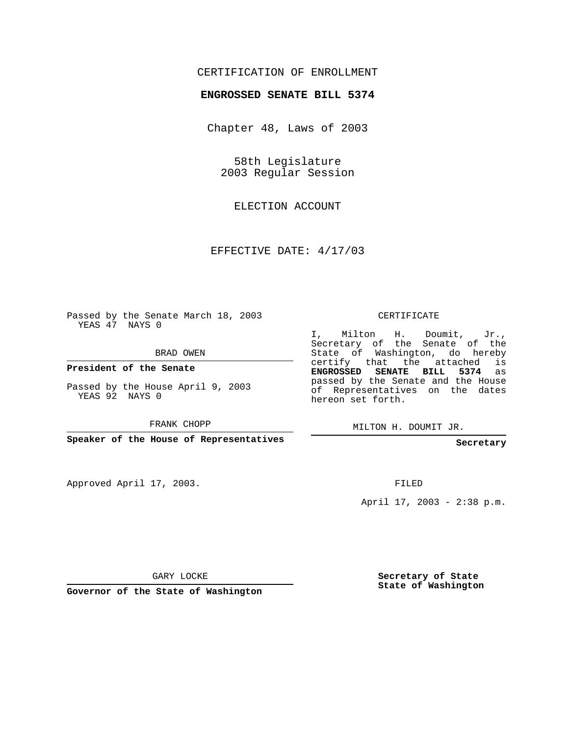## CERTIFICATION OF ENROLLMENT

## **ENGROSSED SENATE BILL 5374**

Chapter 48, Laws of 2003

58th Legislature 2003 Regular Session

ELECTION ACCOUNT

EFFECTIVE DATE: 4/17/03

Passed by the Senate March 18, 2003 YEAS 47 NAYS 0

BRAD OWEN

**President of the Senate**

Passed by the House April 9, 2003 YEAS 92 NAYS 0

FRANK CHOPP

**Speaker of the House of Representatives**

Approved April 17, 2003.

CERTIFICATE

I, Milton H. Doumit, Jr., Secretary of the Senate of the State of Washington, do hereby certify that the attached is **ENGROSSED SENATE BILL 5374** as passed by the Senate and the House of Representatives on the dates hereon set forth.

MILTON H. DOUMIT JR.

**Secretary**

FILED

April 17, 2003 - 2:38 p.m.

GARY LOCKE

**Governor of the State of Washington**

**Secretary of State State of Washington**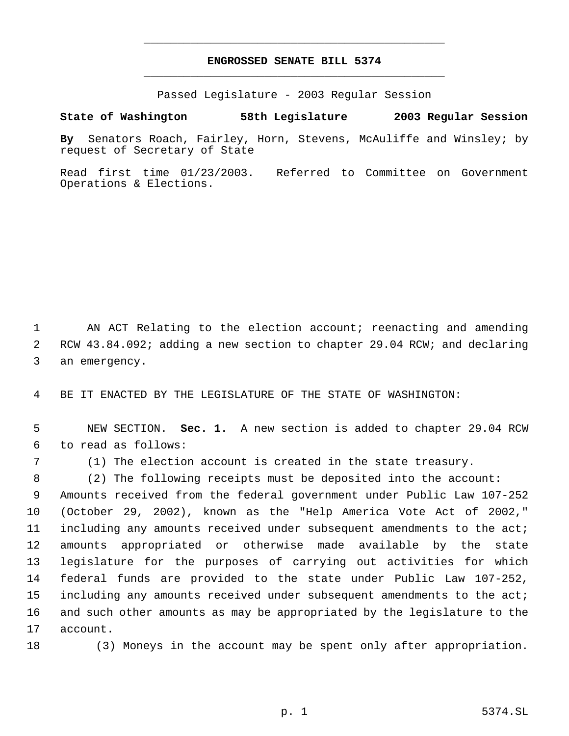## **ENGROSSED SENATE BILL 5374** \_\_\_\_\_\_\_\_\_\_\_\_\_\_\_\_\_\_\_\_\_\_\_\_\_\_\_\_\_\_\_\_\_\_\_\_\_\_\_\_\_\_\_\_\_

\_\_\_\_\_\_\_\_\_\_\_\_\_\_\_\_\_\_\_\_\_\_\_\_\_\_\_\_\_\_\_\_\_\_\_\_\_\_\_\_\_\_\_\_\_

Passed Legislature - 2003 Regular Session

## **State of Washington 58th Legislature 2003 Regular Session**

**By** Senators Roach, Fairley, Horn, Stevens, McAuliffe and Winsley; by request of Secretary of State

Read first time 01/23/2003. Referred to Committee on Government Operations & Elections.

 AN ACT Relating to the election account; reenacting and amending RCW 43.84.092; adding a new section to chapter 29.04 RCW; and declaring an emergency.

BE IT ENACTED BY THE LEGISLATURE OF THE STATE OF WASHINGTON:

 NEW SECTION. **Sec. 1.** A new section is added to chapter 29.04 RCW to read as follows:

(1) The election account is created in the state treasury.

 (2) The following receipts must be deposited into the account: Amounts received from the federal government under Public Law 107-252 (October 29, 2002), known as the "Help America Vote Act of 2002," including any amounts received under subsequent amendments to the act; amounts appropriated or otherwise made available by the state legislature for the purposes of carrying out activities for which federal funds are provided to the state under Public Law 107-252, including any amounts received under subsequent amendments to the act; and such other amounts as may be appropriated by the legislature to the account.

18 (3) Moneys in the account may be spent only after appropriation.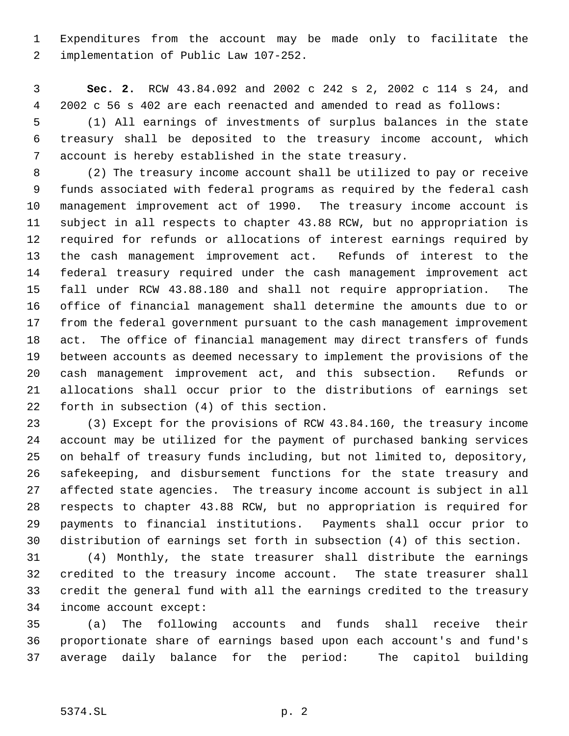Expenditures from the account may be made only to facilitate the implementation of Public Law 107-252.

 **Sec. 2.** RCW 43.84.092 and 2002 c 242 s 2, 2002 c 114 s 24, and 2002 c 56 s 402 are each reenacted and amended to read as follows:

 (1) All earnings of investments of surplus balances in the state treasury shall be deposited to the treasury income account, which account is hereby established in the state treasury.

 (2) The treasury income account shall be utilized to pay or receive funds associated with federal programs as required by the federal cash management improvement act of 1990. The treasury income account is subject in all respects to chapter 43.88 RCW, but no appropriation is required for refunds or allocations of interest earnings required by the cash management improvement act. Refunds of interest to the federal treasury required under the cash management improvement act fall under RCW 43.88.180 and shall not require appropriation. The office of financial management shall determine the amounts due to or from the federal government pursuant to the cash management improvement act. The office of financial management may direct transfers of funds between accounts as deemed necessary to implement the provisions of the cash management improvement act, and this subsection. Refunds or allocations shall occur prior to the distributions of earnings set forth in subsection (4) of this section.

 (3) Except for the provisions of RCW 43.84.160, the treasury income account may be utilized for the payment of purchased banking services on behalf of treasury funds including, but not limited to, depository, safekeeping, and disbursement functions for the state treasury and affected state agencies. The treasury income account is subject in all respects to chapter 43.88 RCW, but no appropriation is required for payments to financial institutions. Payments shall occur prior to distribution of earnings set forth in subsection (4) of this section.

 (4) Monthly, the state treasurer shall distribute the earnings credited to the treasury income account. The state treasurer shall credit the general fund with all the earnings credited to the treasury income account except:

 (a) The following accounts and funds shall receive their proportionate share of earnings based upon each account's and fund's average daily balance for the period: The capitol building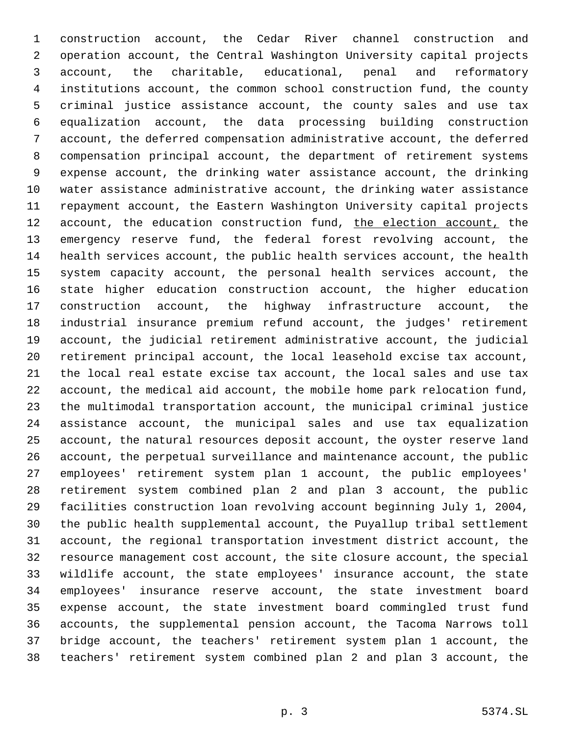construction account, the Cedar River channel construction and operation account, the Central Washington University capital projects account, the charitable, educational, penal and reformatory institutions account, the common school construction fund, the county criminal justice assistance account, the county sales and use tax equalization account, the data processing building construction account, the deferred compensation administrative account, the deferred compensation principal account, the department of retirement systems expense account, the drinking water assistance account, the drinking water assistance administrative account, the drinking water assistance repayment account, the Eastern Washington University capital projects 12 account, the education construction fund, the election account, the emergency reserve fund, the federal forest revolving account, the health services account, the public health services account, the health system capacity account, the personal health services account, the state higher education construction account, the higher education construction account, the highway infrastructure account, the industrial insurance premium refund account, the judges' retirement account, the judicial retirement administrative account, the judicial retirement principal account, the local leasehold excise tax account, the local real estate excise tax account, the local sales and use tax account, the medical aid account, the mobile home park relocation fund, the multimodal transportation account, the municipal criminal justice assistance account, the municipal sales and use tax equalization account, the natural resources deposit account, the oyster reserve land account, the perpetual surveillance and maintenance account, the public employees' retirement system plan 1 account, the public employees' retirement system combined plan 2 and plan 3 account, the public facilities construction loan revolving account beginning July 1, 2004, the public health supplemental account, the Puyallup tribal settlement account, the regional transportation investment district account, the resource management cost account, the site closure account, the special wildlife account, the state employees' insurance account, the state employees' insurance reserve account, the state investment board expense account, the state investment board commingled trust fund accounts, the supplemental pension account, the Tacoma Narrows toll bridge account, the teachers' retirement system plan 1 account, the teachers' retirement system combined plan 2 and plan 3 account, the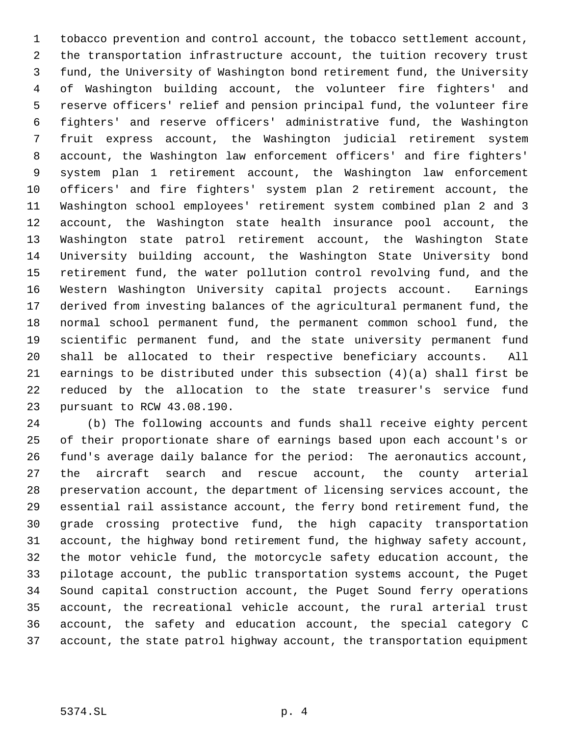tobacco prevention and control account, the tobacco settlement account, the transportation infrastructure account, the tuition recovery trust fund, the University of Washington bond retirement fund, the University of Washington building account, the volunteer fire fighters' and reserve officers' relief and pension principal fund, the volunteer fire fighters' and reserve officers' administrative fund, the Washington fruit express account, the Washington judicial retirement system account, the Washington law enforcement officers' and fire fighters' system plan 1 retirement account, the Washington law enforcement officers' and fire fighters' system plan 2 retirement account, the Washington school employees' retirement system combined plan 2 and 3 account, the Washington state health insurance pool account, the Washington state patrol retirement account, the Washington State University building account, the Washington State University bond retirement fund, the water pollution control revolving fund, and the Western Washington University capital projects account. Earnings derived from investing balances of the agricultural permanent fund, the normal school permanent fund, the permanent common school fund, the scientific permanent fund, and the state university permanent fund shall be allocated to their respective beneficiary accounts. All earnings to be distributed under this subsection (4)(a) shall first be reduced by the allocation to the state treasurer's service fund pursuant to RCW 43.08.190.

 (b) The following accounts and funds shall receive eighty percent of their proportionate share of earnings based upon each account's or fund's average daily balance for the period: The aeronautics account, the aircraft search and rescue account, the county arterial preservation account, the department of licensing services account, the essential rail assistance account, the ferry bond retirement fund, the grade crossing protective fund, the high capacity transportation account, the highway bond retirement fund, the highway safety account, the motor vehicle fund, the motorcycle safety education account, the pilotage account, the public transportation systems account, the Puget Sound capital construction account, the Puget Sound ferry operations account, the recreational vehicle account, the rural arterial trust account, the safety and education account, the special category C account, the state patrol highway account, the transportation equipment